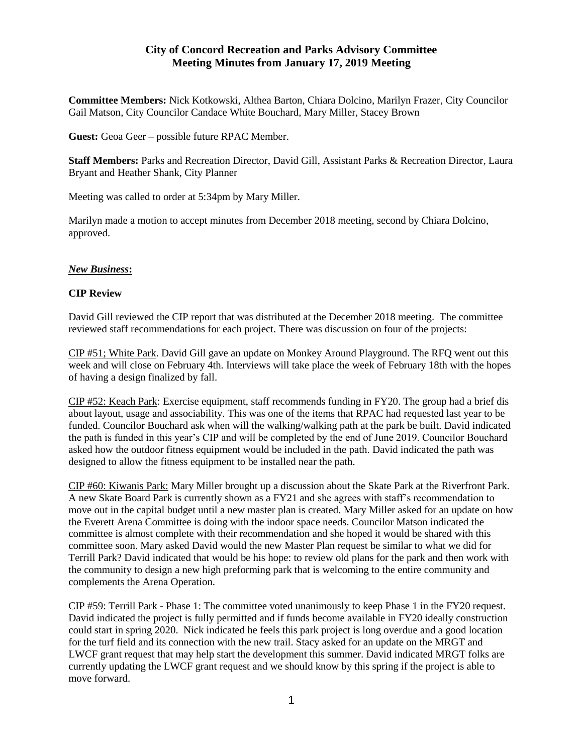## **City of Concord Recreation and Parks Advisory Committee Meeting Minutes from January 17, 2019 Meeting**

**Committee Members:** Nick Kotkowski, Althea Barton, Chiara Dolcino, Marilyn Frazer, City Councilor Gail Matson, City Councilor Candace White Bouchard, Mary Miller, Stacey Brown

**Guest:** Geoa Geer – possible future RPAC Member.

**Staff Members:** Parks and Recreation Director, David Gill, Assistant Parks & Recreation Director, Laura Bryant and Heather Shank, City Planner

Meeting was called to order at 5:34pm by Mary Miller.

Marilyn made a motion to accept minutes from December 2018 meeting, second by Chiara Dolcino, approved.

## *New Business***:**

## **CIP Review**

David Gill reviewed the CIP report that was distributed at the December 2018 meeting. The committee reviewed staff recommendations for each project. There was discussion on four of the projects:

CIP #51; White Park. David Gill gave an update on Monkey Around Playground. The RFQ went out this week and will close on February 4th. Interviews will take place the week of February 18th with the hopes of having a design finalized by fall.

CIP #52: Keach Park: Exercise equipment, staff recommends funding in FY20. The group had a brief dis about layout, usage and associability. This was one of the items that RPAC had requested last year to be funded. Councilor Bouchard ask when will the walking/walking path at the park be built. David indicated the path is funded in this year's CIP and will be completed by the end of June 2019. Councilor Bouchard asked how the outdoor fitness equipment would be included in the path. David indicated the path was designed to allow the fitness equipment to be installed near the path.

CIP #60: Kiwanis Park: Mary Miller brought up a discussion about the Skate Park at the Riverfront Park. A new Skate Board Park is currently shown as a FY21 and she agrees with staff's recommendation to move out in the capital budget until a new master plan is created. Mary Miller asked for an update on how the Everett Arena Committee is doing with the indoor space needs. Councilor Matson indicated the committee is almost complete with their recommendation and she hoped it would be shared with this committee soon. Mary asked David would the new Master Plan request be similar to what we did for Terrill Park? David indicated that would be his hope: to review old plans for the park and then work with the community to design a new high preforming park that is welcoming to the entire community and complements the Arena Operation.

CIP #59: Terrill Park - Phase 1: The committee voted unanimously to keep Phase 1 in the FY20 request. David indicated the project is fully permitted and if funds become available in FY20 ideally construction could start in spring 2020. Nick indicated he feels this park project is long overdue and a good location for the turf field and its connection with the new trail. Stacy asked for an update on the MRGT and LWCF grant request that may help start the development this summer. David indicated MRGT folks are currently updating the LWCF grant request and we should know by this spring if the project is able to move forward.